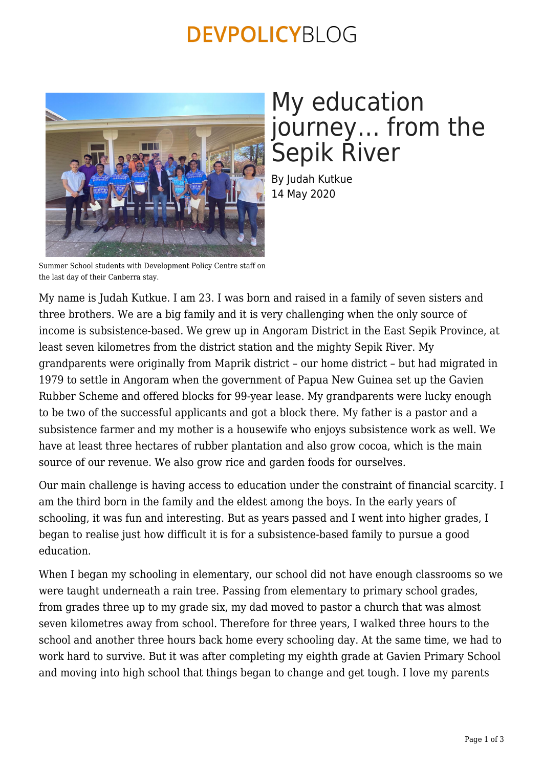### **DEVPOLICYBLOG**



# My education journey… from the Sepik River

By Judah Kutkue 14 May 2020

Summer School students with Development Policy Centre staff on the last day of their Canberra stay.

My name is Judah Kutkue. I am 23. I was born and raised in a family of seven sisters and three brothers. We are a big family and it is very challenging when the only source of income is subsistence-based. We grew up in Angoram District in the East Sepik Province, at least seven kilometres from the district station and the mighty Sepik River. My grandparents were originally from Maprik district – our home district – but had migrated in 1979 to settle in Angoram when the government of Papua New Guinea set up the Gavien Rubber Scheme and offered blocks for 99-year lease. My grandparents were lucky enough to be two of the successful applicants and got a block there. My father is a pastor and a subsistence farmer and my mother is a housewife who enjoys subsistence work as well. We have at least three hectares of rubber plantation and also grow cocoa, which is the main source of our revenue. We also grow rice and garden foods for ourselves.

Our main challenge is having access to education under the constraint of financial scarcity. I am the third born in the family and the eldest among the boys. In the early years of schooling, it was fun and interesting. But as years passed and I went into higher grades, I began to realise just how difficult it is for a subsistence-based family to pursue a good education.

When I began my schooling in elementary, our school did not have enough classrooms so we were taught underneath a rain tree. Passing from elementary to primary school grades, from grades three up to my grade six, my dad moved to pastor a church that was almost seven kilometres away from school. Therefore for three years, I walked three hours to the school and another three hours back home every schooling day. At the same time, we had to work hard to survive. But it was after completing my eighth grade at Gavien Primary School and moving into high school that things began to change and get tough. I love my parents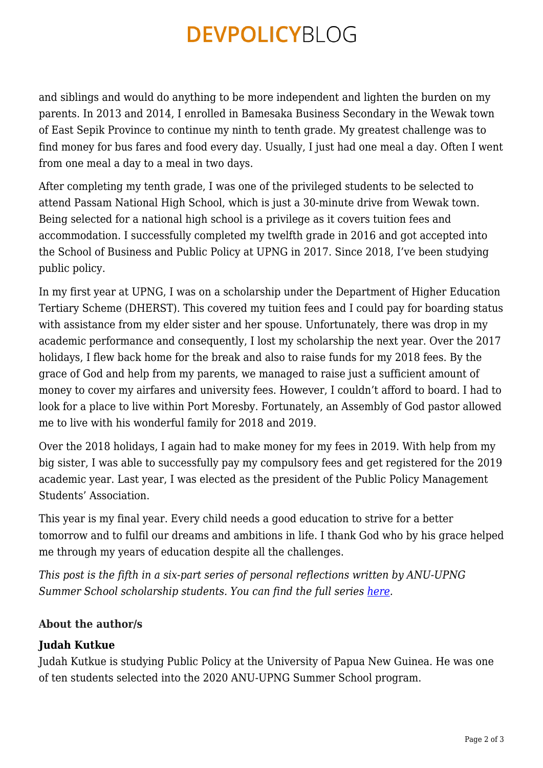## **DEVPOLICYBLOG**

and siblings and would do anything to be more independent and lighten the burden on my parents. In 2013 and 2014, I enrolled in Bamesaka Business Secondary in the Wewak town of East Sepik Province to continue my ninth to tenth grade. My greatest challenge was to find money for bus fares and food every day. Usually, I just had one meal a day. Often I went from one meal a day to a meal in two days.

After completing my tenth grade, I was one of the privileged students to be selected to attend Passam National High School, which is just a 30-minute drive from Wewak town. Being selected for a national high school is a privilege as it covers tuition fees and accommodation. I successfully completed my twelfth grade in 2016 and got accepted into the School of Business and Public Policy at UPNG in 2017. Since 2018, I've been studying public policy.

In my first year at UPNG, I was on a scholarship under the Department of Higher Education Tertiary Scheme (DHERST). This covered my tuition fees and I could pay for boarding status with assistance from my elder sister and her spouse. Unfortunately, there was drop in my academic performance and consequently, I lost my scholarship the next year. Over the 2017 holidays, I flew back home for the break and also to raise funds for my 2018 fees. By the grace of God and help from my parents, we managed to raise just a sufficient amount of money to cover my airfares and university fees. However, I couldn't afford to board. I had to look for a place to live within Port Moresby. Fortunately, an Assembly of God pastor allowed me to live with his wonderful family for 2018 and 2019.

Over the 2018 holidays, I again had to make money for my fees in 2019. With help from my big sister, I was able to successfully pay my compulsory fees and get registered for the 2019 academic year. Last year, I was elected as the president of the Public Policy Management Students' Association.

This year is my final year. Every child needs a good education to strive for a better tomorrow and to fulfil our dreams and ambitions in life. I thank God who by his grace helped me through my years of education despite all the challenges.

*This post is the fifth in a six-part series of personal reflections written by ANU-UPNG Summer School scholarship students. You can find the full series [here.](https://devpolicy.org/tag/growing-up-in-papua-new-guinea/)* 

#### **About the author/s**

### **Judah Kutkue**

Judah Kutkue is studying Public Policy at the University of Papua New Guinea. He was one of ten students selected into the 2020 ANU-UPNG Summer School program.